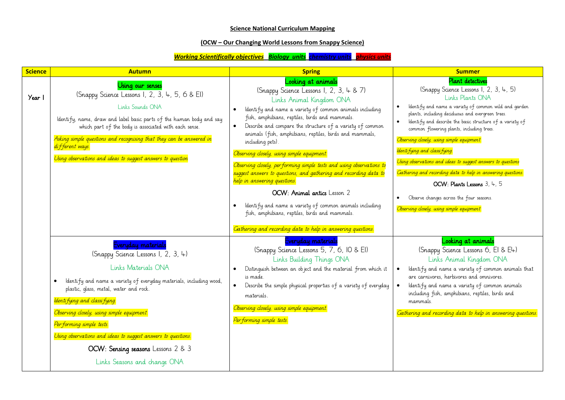## **Science National Curriculum Mapping**

## **(OCW – Our Changing World Lessons from Snappy Science)**

## *Working Scientifically objectives Biology units chemistry units physics units*

| <b>Science</b> | <b>Autumn</b>                                                                                                                                                                                                                                                                                                                                                                                                                                                     | <b>Spring</b>                                                                                                                                                                                                                                                                                                                                                                                                                                                                                                                                                                                                                                                                                                                                       | <b>Summer</b>                                                                                                                                                                                                                                                                                                                                                                                                                                                                                                                                                                                                                                                                                |
|----------------|-------------------------------------------------------------------------------------------------------------------------------------------------------------------------------------------------------------------------------------------------------------------------------------------------------------------------------------------------------------------------------------------------------------------------------------------------------------------|-----------------------------------------------------------------------------------------------------------------------------------------------------------------------------------------------------------------------------------------------------------------------------------------------------------------------------------------------------------------------------------------------------------------------------------------------------------------------------------------------------------------------------------------------------------------------------------------------------------------------------------------------------------------------------------------------------------------------------------------------------|----------------------------------------------------------------------------------------------------------------------------------------------------------------------------------------------------------------------------------------------------------------------------------------------------------------------------------------------------------------------------------------------------------------------------------------------------------------------------------------------------------------------------------------------------------------------------------------------------------------------------------------------------------------------------------------------|
| Year           | Using our senses<br>(Snappy Science Lessons 1, 2, 3, 4, 5, 6 & EI)<br>Links Sounds ONA<br>Identify, name, draw and label basic parts of the human body and say<br>which part of the body is associated with each sense.<br>Asking simple questions and recognising that they can be answered in<br>different ways.<br>Using observations and ideas to suggest answers to question                                                                                 | Looking at animals<br>(Snappy Science Lessons 1, 2, 3, 4 & 7)<br>Links Animal Kingdom ONA<br>Identify and name a variety of common animals including<br>fish, amphibians, reptiles, birds and mammals.<br>Describe and compare the structure of a variety of common<br>$\bullet$<br>animals (fish, amphibians, reptiles, birds and mammals,<br>including pets).<br>Observing closely, using simple equipment.<br>Observing closely, performing simple tests and using observations to<br>suggest answers to questions, and gathering and recording data to<br>help in answering questions.<br>OCW: Animal antics Lesson 2<br>Identify and name a variety of common animals including<br>$\bullet$<br>fish, amphibians, reptiles, birds and mammals. | <b>Plant detectives</b><br>(Snappy Science Lessons 1, 2, 3, 4, 5)<br>Links Plants ONA<br>Identify and name a variety of common wild and garden<br>$\bullet$<br>plants, including deciduous and evergreen trees.<br>Identify and describe the basic structure of a variety of<br>$\bullet$<br>common flowering plants, including trees.<br>Observing closely, using simple equipment.<br>Identi fying and classi fying.<br>Using observations and ideas to suggest answers to questions<br>Gathering and recording data to help in answering questions.<br>OCW: Plants Lessons 3, 4, 5<br>Observe changes across the four seasons.<br>$\bullet$<br>Observing closely, using simple equipment. |
|                | Everyday materials<br>(Snappy Science Lessons 1, 2, 3, 4)<br>Links Materials ONA<br>Identify and name a variety of everyday materials, including wood,<br>$\bullet$<br>plastic, glass, metal, water and rock.<br>Identi fying and classi fying.<br>Observing closely, using simple equipment.<br>Per forming simple tests.<br>Using observations and ideas to suggest answers to questions.<br>OCW: Sensing seasons Lessons 2 & 3<br>Links Seasons and change ONA | Gathering and recording data to help in answering questions.<br>Everyday materials<br>(Snappy Science Lessons 5, 7, 6, 10 & EI)<br>Links Building Things ONA<br>Distinguish between an object and the material from which it<br>is made.<br>Describe the simple physical properties of a variety of everyday<br>$\bullet$<br>materials.<br>Observing closely, using simple equipment.<br>Performing simple tests.                                                                                                                                                                                                                                                                                                                                   | Looking at animals<br>(Snappy Science Lessons 6, EI & E4)<br>Links Animal Kingdom ONA<br>Identify and name a variety of common animals that<br>are carnivores, herbivores and omnivores.<br>Identify and name a variety of common animals<br>including fish, amphibians, reptiles, birds and<br>mammals.<br>Gathering and recording data to help in answering questions.                                                                                                                                                                                                                                                                                                                     |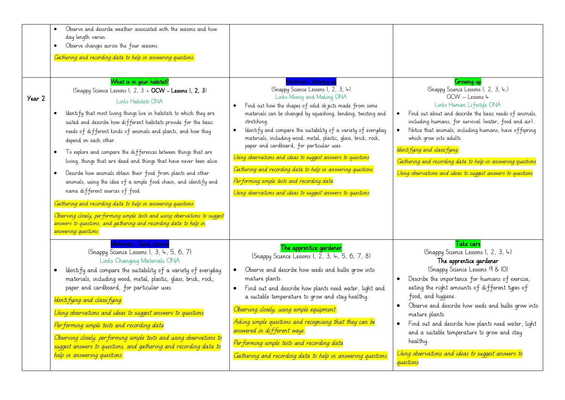| Year 2 | Observe and describe weather associated with the seasons and how<br>$\bullet$<br>day length varies.<br>Observe changes across the four seasons.<br>$\bullet$<br>Gathering and recording data to help in answering questions.<br>What is in your habitat?<br>(Snappy Science Lessons 1, 2, 3 + OCW - Lessons 1, 2, 3)<br>Links Habitats ONA<br>Identify that most living things live in habitats to which they are<br>$\bullet$<br>suited and describe how different habitats provide for the basic<br>needs of different kinds of animals and plants, and how they<br>depend on each other.<br>To explore and compare the differences between things that are<br>$\bullet$<br>living, things that are dead and things that have never been alive.<br>Describe how animals obtain their food from plants and other<br>$\bullet$<br>animals, using the idea of a simple food chain, and identify and<br>name different sources of food.<br>Gathering and recording data to help in answering questions.<br>Observing closely, performing simple tests and using observations to suggest<br>answers to questions, and gathering and recording data to help in<br>answering questions. | Materials: Shaping up<br>(Snappy Science Lessons I, 2, 3, 4)<br>Links Mixing and Making ONA<br>Find out how the shapes of solid objects made from some<br>materials can be changed by squashing, bending, twisting and<br>stretching.<br>Identify and compare the suitability of a variety of everyday<br>$\bullet$<br>materials, including wood, metal, plastic, glass, brick, rock,<br>paper and cardboard, for particular uses.<br>Using observations and ideas to suggest answers to questions<br>Gathering and recording data to help in answering questions.<br>Performing simple tests and recording data<br>Using observations and ideas to suggest answers to questions | <b>Cirowing up</b><br>(Snappy Science Lessons 1, 2, 3, 4,)<br>OCW - Lessons 4<br>Links Human Lifestyle ONA<br>Find out about and describe the basic needs of animals,<br>including humans, for survival (water, food and air).<br>Notice that animals, including humans, have offspring<br>which grow into adults.<br>Identi fying and classi fying.<br>Gathering and recording data to help in answering questions<br>Using observations and ideas to suggest answers to questions                                |
|--------|------------------------------------------------------------------------------------------------------------------------------------------------------------------------------------------------------------------------------------------------------------------------------------------------------------------------------------------------------------------------------------------------------------------------------------------------------------------------------------------------------------------------------------------------------------------------------------------------------------------------------------------------------------------------------------------------------------------------------------------------------------------------------------------------------------------------------------------------------------------------------------------------------------------------------------------------------------------------------------------------------------------------------------------------------------------------------------------------------------------------------------------------------------------------------------|----------------------------------------------------------------------------------------------------------------------------------------------------------------------------------------------------------------------------------------------------------------------------------------------------------------------------------------------------------------------------------------------------------------------------------------------------------------------------------------------------------------------------------------------------------------------------------------------------------------------------------------------------------------------------------|--------------------------------------------------------------------------------------------------------------------------------------------------------------------------------------------------------------------------------------------------------------------------------------------------------------------------------------------------------------------------------------------------------------------------------------------------------------------------------------------------------------------|
|        | Materials: Good choices<br>(Snappy Science Lessons 1, 3, 4, 5, 6, 7)<br>Links Changing Materials ONA<br>Identify and compare the suitability of a variety of everyday<br>$\bullet$<br>materials, including wood, metal, plastic, glass, brick, rock,<br>paper and cardboard, for particular uses.<br>Identi fying and classi fying.<br>Using observations and ideas to suggest answers to questions<br>Performing simple tests and recording data<br>Observing closely, performing simple tests and using observations to<br>suggest answers to questions, and gathering and recording data to<br>help in answering questions.                                                                                                                                                                                                                                                                                                                                                                                                                                                                                                                                                     | The apprentice gardener<br>(Snappy Science Lessons 1, 2, 3, 4, 5, 6, 7, 8)<br>Observe and describe how seeds and bulbs grow into<br>mature plants.<br>Find out and describe how plants need water, light and<br>$\bullet$<br>a suitable temperature to grow and stay healthy.<br>Observing closely, using simple equipment.<br>Asking simple questions and recognising that they can be<br>answered in different ways.<br>Performing simple tests and recording data<br>Gathering and recording data to help in answering questions.                                                                                                                                             | Take care<br>(Snappy Science Lessons 1, 2, 3, 4)<br>The apprentice gardener<br>(Snappy Science Lessons 9 & IO)<br>Describe the importance for humans of exercise,<br>eating the right amounts of different types of<br>food, and hygiene.<br>Observe and describe how seeds and bulbs grow into<br>mature plants.<br>Find out and describe how plants need water, light<br>and a suitable temperature to grow and stay<br>healthy.<br>Using observations and ideas to suggest answers to<br><mark>questions</mark> |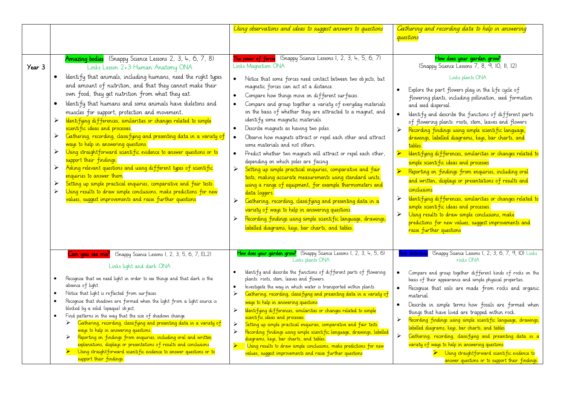|        |                                                                                                                                                                                                                                                                                                                                                                                                                                                                                                                                                                                                                                                                                                                                                                                                                                                                                                                                                                                                                                                                                                    | Using observations and ideas to suggest answers to questions                                                                                                                                                                                                                                                                                                                                                                                                                                                                                                                                                                                                                                                                                                                                                                                                                                                                                                                                                                                                                                                                                                                                                                                                   | Gathering and recording data to help in answering<br>questions                                                                                                                                                                                                                                                                                                                                                                                                                                                                                                                                                                                                                                                                                                                                                                                                                                                                                                                                                                                       |
|--------|----------------------------------------------------------------------------------------------------------------------------------------------------------------------------------------------------------------------------------------------------------------------------------------------------------------------------------------------------------------------------------------------------------------------------------------------------------------------------------------------------------------------------------------------------------------------------------------------------------------------------------------------------------------------------------------------------------------------------------------------------------------------------------------------------------------------------------------------------------------------------------------------------------------------------------------------------------------------------------------------------------------------------------------------------------------------------------------------------|----------------------------------------------------------------------------------------------------------------------------------------------------------------------------------------------------------------------------------------------------------------------------------------------------------------------------------------------------------------------------------------------------------------------------------------------------------------------------------------------------------------------------------------------------------------------------------------------------------------------------------------------------------------------------------------------------------------------------------------------------------------------------------------------------------------------------------------------------------------------------------------------------------------------------------------------------------------------------------------------------------------------------------------------------------------------------------------------------------------------------------------------------------------------------------------------------------------------------------------------------------------|------------------------------------------------------------------------------------------------------------------------------------------------------------------------------------------------------------------------------------------------------------------------------------------------------------------------------------------------------------------------------------------------------------------------------------------------------------------------------------------------------------------------------------------------------------------------------------------------------------------------------------------------------------------------------------------------------------------------------------------------------------------------------------------------------------------------------------------------------------------------------------------------------------------------------------------------------------------------------------------------------------------------------------------------------|
| Year 3 | Amazing bodies (Snappy Science Lessons 2, 3, 4, 6, 7, 8)<br>Links Lesson 2+3 Human Anatomy ONA<br>Identify that animals, including humans, need the right types<br>and amount of nutrition, and that they cannot make their<br>own food; they get nutrition from what they eat.<br>Identify that humans and some animals have skeletons and<br>$\bullet$<br>muscles for support, protection and movement.<br>Identifying differences, similarities or changes related to simple<br>➤<br>scientific ideas and processes.<br>Gathering, recording, classifying and presenting data in a variety of<br>➤<br>ways to help in answering questions.<br>Using straight forward scientific evidence to answer questions or to<br>➤<br>support their findings.<br>Asking relevant questions and using different types of scientific<br>➤<br>enquiries to answer them.<br>Setting up simple practical enquiries, comparative and fair tests.<br>➤<br>Using results to draw simple conclusions, make predictions for new<br>$\blacktriangleright$<br>values, suggest improvements and raise further questions | The power of forces (Snappy Science Lessons 1, 2, 3, 4, 5, 6, 7)<br>Links Magnetism ONA<br>Notice that some forces need contact between two objects, but<br>$\bullet$<br>magnetic forces can act at a distance.<br>Compare how things move on different surfaces.<br>$\bullet$<br>Compare and group together a variety of everyday materials<br>$\bullet$<br>on the basis of whether they are attracted to a magnet, and<br>identify some magnetic materials.<br>Describe magnets as having two poles.<br>$\bullet$<br>Observe how magnets attract or repel each other and attract<br>$\bullet$<br>some materials and not others.<br>Predict whether two magnets will attract or repel each other,<br>$\bullet$<br>depending on which poles are facing.<br>Setting up simple practical enquiries, comparative and fair<br>$\blacktriangleright$<br>tests, making accurate measurements using standard units,<br>using a range of equipment, for example thermometers and<br>data loggers.<br>Gathering, recording, classifying and presenting data in a<br>$\blacktriangleright$<br>variety of ways to help in answering questions.<br>Recording findings using simple scientific language, drawings,<br>➤<br>labelled diagrams, keys, bar charts, and tables. | How does your garden grow?<br>(Snappy Science Lessons 7, 8, 9, 10, 11, 12)<br>Links plants ONA<br>Explore the part flowers play in the life cycle of<br>flowering plants, including pollination, seed formation<br>and seed dispersal.<br>Identify and describe the functions of different parts<br>$\bullet$<br>of flowering plants: roots, stem, leaves and flowers<br>Recording findings using simple scientific language,<br>➤<br>drawings, labelled diagrams, keys, bar charts, and<br>tables.<br>Identifying differences, similarities or changes related to<br>$\blacktriangleright$<br>simple scientific ideas and processes<br>Reporting on findings from enquiries, including oral<br>$\blacktriangleright$<br>and written, displays or presentations of results and<br>conclusions<br>dentifying differences, similarities or changes related to<br>➤<br>simple scientific ideas and processes.<br>Using results to draw simple conclusions, make<br>➤<br>predictions for new values, suggest improvements and<br>raise further questions |
|        | Can you see me? (Snappy Science Lessons 1, 2, 3, 5, 6, 7, EL2)<br>Links light and dark ONA<br>Recognise that we need light in order to see things and that dark is the<br>$\bullet$<br>absence of light.<br>Notice that light is reflected from surfaces.<br>$\bullet$<br>Recognise that shadows are formed when the light from a light source is<br>$\bullet$<br>blocked by a solid (opaque) ob ject.<br>Find patterns in the way that the size of shadows change.<br>$\bullet$<br>Gathering, recording, classifying and presenting data in a variety of<br>➤<br>ways to help in answering questions.<br>Reporting on findings from enquiries, including oral and written<br>➤<br>explanations, displays or presentations of results and conclusions.<br>Using straightforward scientific evidence to answer questions or to<br>support their findings.                                                                                                                                                                                                                                           | How does your garden grow? (Snappy Science Lessons 1, 2, 3, 4, 5, 6)<br>Links plants ONA<br>Identify and describe the functions of different parts of flowering<br>$\bullet$<br>plants: roots, stem, leaves and flowers.<br>Investigate the way in which water is transported within plants.<br>$\bullet$<br>$\blacktriangleright$<br>Gathering, recording, classifying and presenting data in a variety of<br>ways to help in answering questions.<br>dentifying differences, similarities or changes related to simple<br>➤<br>scientific ideas and processes.<br>Setting up simple practical enquiries, comparative and fair tests.<br>$\blacktriangleright$<br>Recording findings using simple scientific language, drawings, labelled<br>$\blacktriangleright$<br>diagrams, keys, bar charts, and tables.<br>$\blacktriangleleft$<br>Using results to draw simple conclusions, make predictions for new<br>values, suggest improvements and raise further questions                                                                                                                                                                                                                                                                                       | (Snappy Science Lessons 1, 2, 3, 6, 7, 9, 10) Links<br>Rock detectives<br>rocks ONA<br>Compare and group together different kinds of rocks on the<br>basis of their appearance and simple physical properties.<br>Recognise that soils are made from rocks and organic<br>material.<br>Describe in simple terms how fossils are formed when<br>things that have lived are trapped within rock.<br>Recording findings using simple scientific language, drawings,<br>$\blacktriangleright$<br>labelled diagrams, keys, bar charts, and tables.<br>Gathering, recording, classifying and presenting data in a<br>$\blacktriangleright$<br>variety of ways to help in answering questions.<br>> Using straight forward scientific evidence to<br>answer questions or to support their findings.                                                                                                                                                                                                                                                         |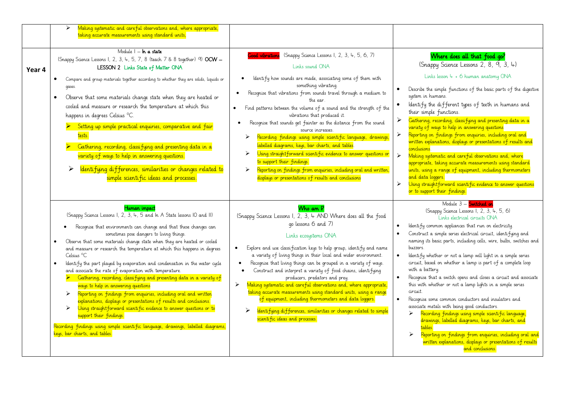|        | Making systematic and careful observations and, where appropriate,<br>➤<br>taking accurate measurements using standard units,                                                                                                                                                                                                                                                                                                                                                                                                                                                                                                                                                                                                                                                                                                                                                                                                                                                                                                                                       |                                                                                                                                                                                                                                                                                                                                                                                                                                                                                                                                                                                                                                                                                                                                                                                                                                                                    |                                                                                                                                                                                                                                                                                                                                                                                                                                                                                                                                                                                                                                                                                                                                                                                                                                                                                                                                                                                                                          |
|--------|---------------------------------------------------------------------------------------------------------------------------------------------------------------------------------------------------------------------------------------------------------------------------------------------------------------------------------------------------------------------------------------------------------------------------------------------------------------------------------------------------------------------------------------------------------------------------------------------------------------------------------------------------------------------------------------------------------------------------------------------------------------------------------------------------------------------------------------------------------------------------------------------------------------------------------------------------------------------------------------------------------------------------------------------------------------------|--------------------------------------------------------------------------------------------------------------------------------------------------------------------------------------------------------------------------------------------------------------------------------------------------------------------------------------------------------------------------------------------------------------------------------------------------------------------------------------------------------------------------------------------------------------------------------------------------------------------------------------------------------------------------------------------------------------------------------------------------------------------------------------------------------------------------------------------------------------------|--------------------------------------------------------------------------------------------------------------------------------------------------------------------------------------------------------------------------------------------------------------------------------------------------------------------------------------------------------------------------------------------------------------------------------------------------------------------------------------------------------------------------------------------------------------------------------------------------------------------------------------------------------------------------------------------------------------------------------------------------------------------------------------------------------------------------------------------------------------------------------------------------------------------------------------------------------------------------------------------------------------------------|
| Year 4 | Module I - In a state<br>(Snappy Science Lessons 1, 2, 3, 4, 5, 7, 8 (teach 7 & 8 together) 9) OCW -<br>LESSON 2 Links State of Matter ONA<br>Compare and group materials together according to whether they are solids, liquids or<br>$\bullet$<br>gases.<br>Observe that some materials change state when they are heated or<br>$\bullet$<br>cooled and measure or research the temperature at which this<br>happens in degrees Celsius °C.<br>Setting up simple practical enquiries, comparative and fair<br>tests.<br>Cathering, recording, classifying and presenting data in a<br>$\blacktriangleright$<br>variety of ways to help in answering questions.<br>$\blacktriangleright$<br>Identifying differences, similarities or changes related to<br>simple scientific ideas and processes.                                                                                                                                                                                                                                                                  | Cood vibrations (Snappy Science Lessons 1, 2, 3, 4, 5, 6, 7)<br>Links sound ONA<br>Identify how sounds are made, associating some of them with<br>$\bullet$<br>something vibrating.<br>Recognise that vibrations from sounds travel through a medium to<br>$\bullet$<br>the ear.<br>Find patterns between the volume of a sound and the strength of the<br>$\bullet$<br>vibrations that produced it.<br>Recognise that sounds get fainter as the distance from the sound<br>source increases.<br>Recording findings using simple scientific language, drawings,<br>➤<br>labelled diagrams, keys, bar charts, and tables<br>Using straight forward scienti fic evidence to answer questions or<br>➤<br>to support their findings.<br>Reporting on findings from enquiries, including oral and written,<br>➤<br>displays or presentations of results and conclusions | Where does all that food go?<br>(Snappy Science Lessons 2, 8, 9, 3, 4)<br>Links lesson 4 + 6 human anatomy ONA<br>Describe the simple functions of the basic parts of the digestive<br>system in humans.<br>Identify the different types of teeth in humans and<br>$\bullet$<br>their simple functions.<br>Gathering, recording, classifying and presenting data in a<br>➤<br>variety of ways to help in answering questions<br>$\blacktriangleright$<br>Reporting on findings from enquiries, including oral and<br>written explanations, displays or presentations of results and<br>conclusions.<br>$\blacktriangleright$<br>Making systematic and careful observations and, where<br>appropriate, taking accurate measurements using standard<br>units, using a range of equipment, including thermometers<br>and data loggers.<br>$\blacktriangle$<br>Using straight forward scientific evidence to answer questions<br>or to support their findings.                                                               |
|        | Human impact<br>(Snappy Science Lessons 1, 2, 3, 4, 5 and In A State lessons 10 and II)<br>Recognise that environments can change and that these changes can<br>sometimes pose dangers to living things.<br>Observe that some materials change state when they are heated or cooled<br>$\bullet$<br>and measure or research the temperature at which this happens in degrees<br>Celsius °C<br>Identify the part played by evaporation and condensation in the water cycle<br>$\bullet$<br>and associate the rate of evaporation with temperature.<br>Cathering, recording, classifying and presenting data in a variety of<br>ways to help in answering questions<br>Reporting on findings from enquiries, including oral and written<br>≻<br>explanations, displays or presentations of results and conclusions.<br>Using straight forward scientific evidence to answer questions or to<br>$\blacktriangleright$<br>support their findings.<br>Recording findings using simple scientific language, drawings, labelled diagrams,<br>keys, bar charts, and tables. | Who am P<br>(Snappy Science Lessons I, 2, 3, 4 AND Where does all the food<br>go lessons 6 and 7)<br>Links ecosystems ONA<br>Explore and use classification keys to help group, identify and name<br>$\bullet$<br>a variety of living things in their local and wider environment.<br>Recognise that living things can be grouped in a variety of ways.<br>Construct and interpret a variety of food chains, identifying<br>$\bullet$<br>producers, predators and prey.<br>Making systematic and careful observations and, where appropriate,<br>$\blacktriangleright$<br>taking accurate measurements using standard units, using a range<br>of equipment, including thermometers and data loggers.<br>➤<br>dentifying differences, similarities or changes related to simple<br>scientific ideas and processes.                                                  | Module 3 - Switched on<br>(Snappy Science Lessons I, 2, 3, 4, 5, 6)<br>Links electrical circuits ONA<br>Identify common appliances that run on electricity.<br>Construct a simple series electrical circuit, identifying and<br>naming its basic parts, including cells, wire, bulbs, switches and<br>buzzers.<br>Identify whether or not a lamp will light in a simple series<br>circuit, based on whether a lamp is part of a complete loop<br>with a battery.<br>Recognise that a switch opens and closes a circuit and associate<br>this with whether or not a lamp lights in a simple series<br>circuit.<br>Recognise some common conductors and insulators and<br>associate metals with being good conductors.<br>Recording findings using simple scientific language,<br>➤<br>drawings, labelled diagrams, keys, bar charts, and<br>tables<br>$\blacktriangleright$<br>Reporting on findings from enquiries, including oral and<br>written explanations, displays or presentations of results<br>and conclusions. |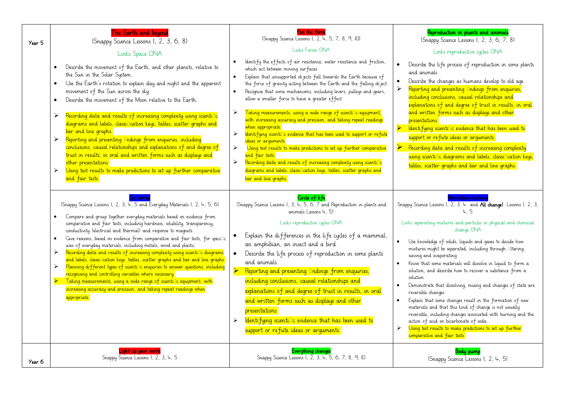| Year 5 | The Earth and beyond<br>(Snappy Science Lessons I, 2, 3, 6, 8)<br>Links Space ONA<br>Describe the movement of the Earth, and other planets, relative to<br>the Sun in the Solar System.<br>Use the Earth's rotation to explain day and night and the apparent<br>$\bullet$<br>movement of the Sun across the sky.<br>Describe the movement of the Moon relative to the Earth.<br>$\bullet$<br>Recording data and results of increasing complexity using scienti <sup>n</sup> c<br>$\blacktriangleright$<br>diagrams and labels, classi <sup>p</sup> cation keys, tables, scatter graphs and<br>bar and line graphs.<br>Reporting and presenting Indings from enquiries, including<br>≻<br>conclusions, causal relationships and explanations of and degree of<br>trust in results, in oral and written forms such as displays and<br>other presentations.<br>Using test results to make predictions to set up further comparative<br>$\blacktriangleright$<br>and fair tests.                                                                                                         | Feel the force<br>(Snappy Science Lessons 1, 2, 4, 5, 7, 8, 9, 10)<br>Links Forces ONA<br>Identify the effects of air resistance, water resistance and friction,<br>which act between moving surfaces.<br>Explain that unsupported objects fall towards the Earth because of<br>$\bullet$<br>the force of gravity acting between the Earth and the falling object.<br>Recognise that some mechanisms, including levers, pulleys and gears,<br>$\bullet$<br>allow a smaller force to have a greater effect.<br>Taking measurements, using a wide range of scienti <sup>n</sup> c equipment,<br>➤<br>with increasing accuracy and precision, and taking repeat readings<br>when appropriate.<br>dentifying scienti <sup>n</sup> c evidence that has been used to support or refute<br>$\blacktriangleright$<br>ideas or arguments.<br>Using test results to make predictions to set up further comparative<br>$\blacktriangleright$<br>and fair tests.<br>Recording data and results of increasing complexity using scienti <sup>n</sup> c<br>➤<br>diagrams and labels, classi <sup>n</sup> cation keys, tables, scatter graphs and<br>bar and line graphs. | Reproduction in plants and animals<br>(Snappy Science Lessons 1, 2, 3, 6, 7, 8)<br>Links reproductive cycles ONA<br>Describe the life process of reproduction in some plants<br>and animals.<br>Describe the changes as humans develop to old age.<br>$\bullet$<br>$\blacktriangleright$<br>Reporting and presenting Indings from enquiries,<br>including conclusions, causal relationships and<br>explanations of and degree of trust in results, in oral<br>and written forms such as displays and other<br>presentations.<br>$\blacktriangleright$<br>Identifying scienti <sup>n</sup> c evidence that has been used to<br>support or refute ideas or arguments.<br>$\blacktriangleright$<br>Recording data and results of increasing complexity<br>using scienti <sup>n</sup> c diagrams and labels, classincation keys,<br>tables, scatter graphs and bar and line graphs.                                                                                       |
|--------|---------------------------------------------------------------------------------------------------------------------------------------------------------------------------------------------------------------------------------------------------------------------------------------------------------------------------------------------------------------------------------------------------------------------------------------------------------------------------------------------------------------------------------------------------------------------------------------------------------------------------------------------------------------------------------------------------------------------------------------------------------------------------------------------------------------------------------------------------------------------------------------------------------------------------------------------------------------------------------------------------------------------------------------------------------------------------------------|-----------------------------------------------------------------------------------------------------------------------------------------------------------------------------------------------------------------------------------------------------------------------------------------------------------------------------------------------------------------------------------------------------------------------------------------------------------------------------------------------------------------------------------------------------------------------------------------------------------------------------------------------------------------------------------------------------------------------------------------------------------------------------------------------------------------------------------------------------------------------------------------------------------------------------------------------------------------------------------------------------------------------------------------------------------------------------------------------------------------------------------------------------------|-----------------------------------------------------------------------------------------------------------------------------------------------------------------------------------------------------------------------------------------------------------------------------------------------------------------------------------------------------------------------------------------------------------------------------------------------------------------------------------------------------------------------------------------------------------------------------------------------------------------------------------------------------------------------------------------------------------------------------------------------------------------------------------------------------------------------------------------------------------------------------------------------------------------------------------------------------------------------|
|        | <b>Ciet sorted</b><br>(Snappy Science Lessons 1, 2, 3, 4, 5 and Everyday Materials 1, 2, 4, 5, 6)<br>Compare and group together everyday materials based on evidence from<br>$\bullet$<br>comparative and fair tests, including hardness, solubility, transparency,<br>conductivity (electrical and thermal) and response to magnets.<br>Cive reasons, based on evidence from comparative and fair tests, for speci <sup>n</sup> c<br>$\bullet$<br>uses of everyday materials, including metals, wood and plastic.<br>Recording data and results of increasing complexity using scientillc diagrams<br>$\blacktriangleright$<br>and labels, classiDcation keys, tables, scatter graphs and bar and line graphs.<br>Planning different types of scienti <sup>n</sup> c enquiries to answer questions, including<br>$\blacktriangleright$<br>recognising and controlling variables where necessary.<br>$\blacksquare$ Taking measurements, using a wide range of scienti $\Box$ c equipment, with<br>increasing accuracy and precision, and taking repeat readings when<br>appropriate. | Circle of life<br>(Snappy Science Lessons I, 3, 4, 5, 6, 7 and Reproduction in plants and<br>animals Lessons $4, 5$ )<br>Links reproductive cycles ONA<br>Explain the differences in the life cycles of a mammal,<br>an amphibian, an insect and a bird.<br>Describe the life process of reproduction in some plants<br>$\bullet$<br>and animals.<br>$\blacktriangleright$<br>Reporting and presenting Indings from enquiries,<br>including conclusions, causal relationships and<br>explanations of and degree of trust in results, in oral<br>and written forms such as displays and other<br>presentations.<br>Identifying scienti□c evidence that has been used to<br>$\blacktriangleright$<br>support or refute ideas or arguments.                                                                                                                                                                                                                                                                                                                                                                                                                  | Marvellous mixtures<br>Snappy Science Lessons 1, 2, 3, 4 and All changel Lessons 1, 2, 3,<br>45<br>Links separating mixtures and particles in physical and chemical<br>change ONA<br>Use knowledge of solids, liquids and gases to decide how<br>$\bullet$<br>mixtures might be separated, including through <b>Iltering</b> ,<br>sieving and evaporating.<br>Know that some materials will dissolve in liquid to form a<br>$\bullet$<br>solution, and describe how to recover a substance from a<br>solution.<br>Demonstrate that dissolving, mixing and changes of state are<br>reversible changes<br>Explain that some changes result in the formation of new<br>$\bullet$<br>materials and that this kind of change is not usually<br>reversible, including changes associated with burning and the<br>action of acid on bicarbonate of soda.<br>$\blacktriangleright$<br>Using test results to make predictions to set up further<br>comparative and fair tests. |
| Year 6 | <u>ight up your world</u><br>Snappy Science Lessons 1, 2, 3, 4, 5                                                                                                                                                                                                                                                                                                                                                                                                                                                                                                                                                                                                                                                                                                                                                                                                                                                                                                                                                                                                                     | Everything changes<br>Snappy Science Lessons 1, 2, 3, 4, 5, 6, 7, 8, 9, 10                                                                                                                                                                                                                                                                                                                                                                                                                                                                                                                                                                                                                                                                                                                                                                                                                                                                                                                                                                                                                                                                                | Body pump<br>(Snappy Science Lessons I, 2, 4, 5)                                                                                                                                                                                                                                                                                                                                                                                                                                                                                                                                                                                                                                                                                                                                                                                                                                                                                                                      |